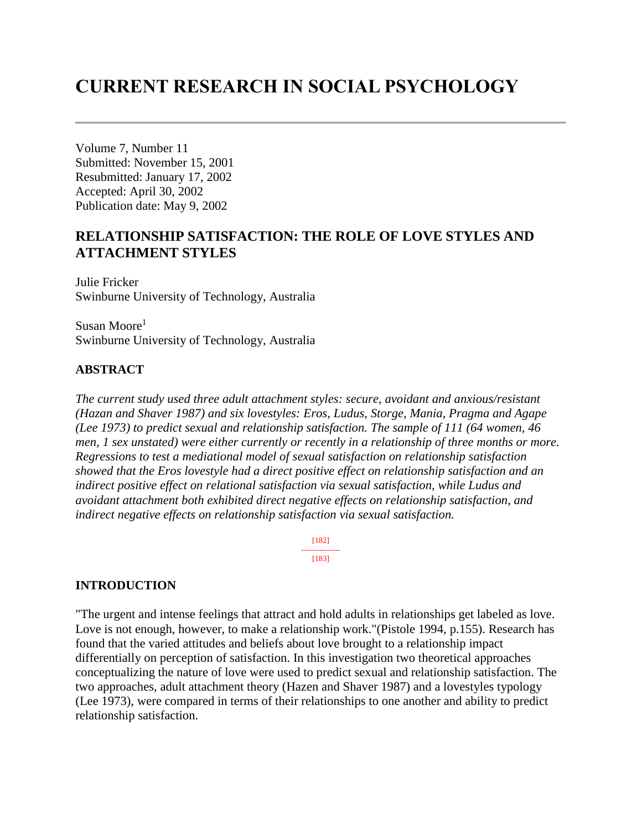# **CURRENT RESEARCH IN SOCIAL PSYCHOLOGY**

Volume 7, Number 11 Submitted: November 15, 2001 Resubmitted: January 17, 2002 Accepted: April 30, 2002 Publication date: May 9, 2002

## **RELATIONSHIP SATISFACTION: THE ROLE OF LOVE STYLES AND ATTACHMENT STYLES**

Julie Fricker Swinburne University of Technology, Australia

Susan Moore<sup>1</sup> Swinburne University of Technology, Australia

### **ABSTRACT**

*The current study used three adult attachment styles: secure, avoidant and anxious/resistant (Hazan and Shaver 1987) and six lovestyles: Eros, Ludus, Storge, Mania, Pragma and Agape (Lee 1973) to predict sexual and relationship satisfaction. The sample of 111 (64 women, 46 men, 1 sex unstated) were either currently or recently in a relationship of three months or more. Regressions to test a mediational model of sexual satisfaction on relationship satisfaction showed that the Eros lovestyle had a direct positive effect on relationship satisfaction and an indirect positive effect on relational satisfaction via sexual satisfaction, while Ludus and avoidant attachment both exhibited direct negative effects on relationship satisfaction, and indirect negative effects on relationship satisfaction via sexual satisfaction.* 

> [182] --------------- [183]

#### **INTRODUCTION**

"The urgent and intense feelings that attract and hold adults in relationships get labeled as love. Love is not enough, however, to make a relationship work."(Pistole 1994, p.155). Research has found that the varied attitudes and beliefs about love brought to a relationship impact differentially on perception of satisfaction. In this investigation two theoretical approaches conceptualizing the nature of love were used to predict sexual and relationship satisfaction. The two approaches, adult attachment theory (Hazen and Shaver 1987) and a lovestyles typology (Lee 1973), were compared in terms of their relationships to one another and ability to predict relationship satisfaction.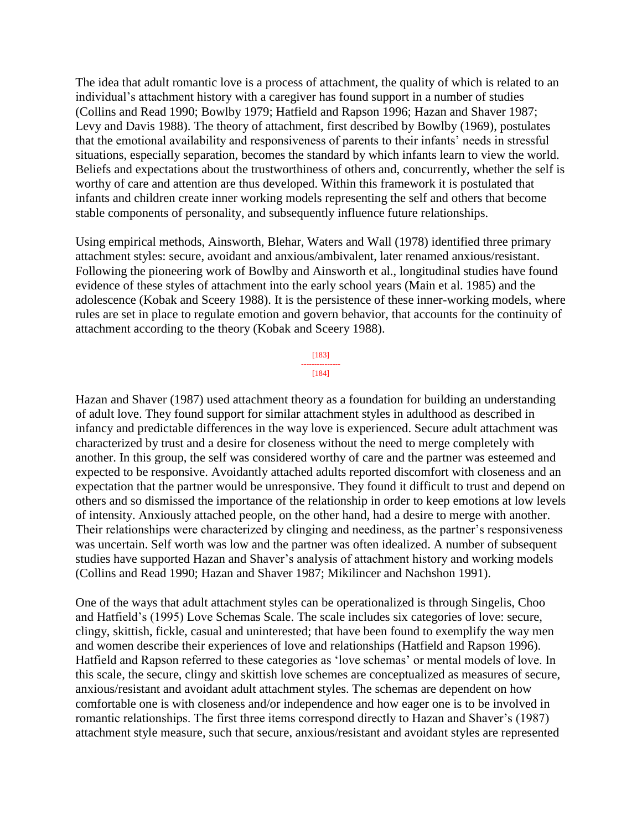The idea that adult romantic love is a process of attachment, the quality of which is related to an individual's attachment history with a caregiver has found support in a number of studies (Collins and Read 1990; Bowlby 1979; Hatfield and Rapson 1996; Hazan and Shaver 1987; Levy and Davis 1988). The theory of attachment, first described by Bowlby (1969), postulates that the emotional availability and responsiveness of parents to their infants' needs in stressful situations, especially separation, becomes the standard by which infants learn to view the world. Beliefs and expectations about the trustworthiness of others and, concurrently, whether the self is worthy of care and attention are thus developed. Within this framework it is postulated that infants and children create inner working models representing the self and others that become stable components of personality, and subsequently influence future relationships.

Using empirical methods, Ainsworth, Blehar, Waters and Wall (1978) identified three primary attachment styles: secure, avoidant and anxious/ambivalent, later renamed anxious/resistant. Following the pioneering work of Bowlby and Ainsworth et al., longitudinal studies have found evidence of these styles of attachment into the early school years (Main et al. 1985) and the adolescence (Kobak and Sceery 1988). It is the persistence of these inner-working models, where rules are set in place to regulate emotion and govern behavior, that accounts for the continuity of attachment according to the theory (Kobak and Sceery 1988).

> [183] --------------- [184]

Hazan and Shaver (1987) used attachment theory as a foundation for building an understanding of adult love. They found support for similar attachment styles in adulthood as described in infancy and predictable differences in the way love is experienced. Secure adult attachment was characterized by trust and a desire for closeness without the need to merge completely with another. In this group, the self was considered worthy of care and the partner was esteemed and expected to be responsive. Avoidantly attached adults reported discomfort with closeness and an expectation that the partner would be unresponsive. They found it difficult to trust and depend on others and so dismissed the importance of the relationship in order to keep emotions at low levels of intensity. Anxiously attached people, on the other hand, had a desire to merge with another. Their relationships were characterized by clinging and neediness, as the partner's responsiveness was uncertain. Self worth was low and the partner was often idealized. A number of subsequent studies have supported Hazan and Shaver's analysis of attachment history and working models (Collins and Read 1990; Hazan and Shaver 1987; Mikilincer and Nachshon 1991).

One of the ways that adult attachment styles can be operationalized is through Singelis, Choo and Hatfield's (1995) Love Schemas Scale. The scale includes six categories of love: secure, clingy, skittish, fickle, casual and uninterested; that have been found to exemplify the way men and women describe their experiences of love and relationships (Hatfield and Rapson 1996). Hatfield and Rapson referred to these categories as 'love schemas' or mental models of love. In this scale, the secure, clingy and skittish love schemes are conceptualized as measures of secure, anxious/resistant and avoidant adult attachment styles. The schemas are dependent on how comfortable one is with closeness and/or independence and how eager one is to be involved in romantic relationships. The first three items correspond directly to Hazan and Shaver's (1987) attachment style measure, such that secure, anxious/resistant and avoidant styles are represented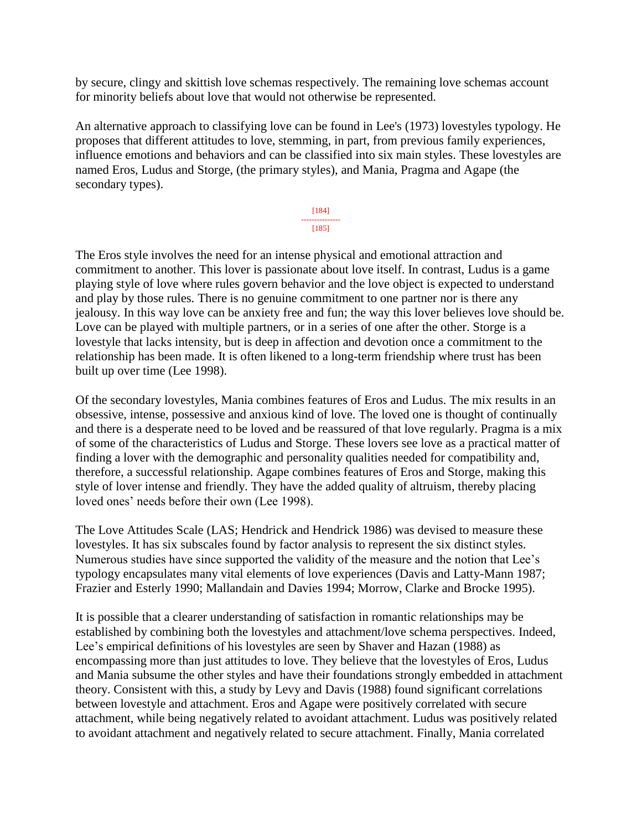by secure, clingy and skittish love schemas respectively. The remaining love schemas account for minority beliefs about love that would not otherwise be represented.

An alternative approach to classifying love can be found in Lee's (1973) lovestyles typology. He proposes that different attitudes to love, stemming, in part, from previous family experiences, influence emotions and behaviors and can be classified into six main styles. These lovestyles are named Eros, Ludus and Storge, (the primary styles), and Mania, Pragma and Agape (the secondary types).

> [184] --------------- [185]

The Eros style involves the need for an intense physical and emotional attraction and commitment to another. This lover is passionate about love itself. In contrast, Ludus is a game playing style of love where rules govern behavior and the love object is expected to understand and play by those rules. There is no genuine commitment to one partner nor is there any jealousy. In this way love can be anxiety free and fun; the way this lover believes love should be. Love can be played with multiple partners, or in a series of one after the other. Storge is a lovestyle that lacks intensity, but is deep in affection and devotion once a commitment to the relationship has been made. It is often likened to a long-term friendship where trust has been built up over time (Lee 1998).

Of the secondary lovestyles, Mania combines features of Eros and Ludus. The mix results in an obsessive, intense, possessive and anxious kind of love. The loved one is thought of continually and there is a desperate need to be loved and be reassured of that love regularly. Pragma is a mix of some of the characteristics of Ludus and Storge. These lovers see love as a practical matter of finding a lover with the demographic and personality qualities needed for compatibility and, therefore, a successful relationship. Agape combines features of Eros and Storge, making this style of lover intense and friendly. They have the added quality of altruism, thereby placing loved ones' needs before their own (Lee 1998).

The Love Attitudes Scale (LAS; Hendrick and Hendrick 1986) was devised to measure these lovestyles. It has six subscales found by factor analysis to represent the six distinct styles. Numerous studies have since supported the validity of the measure and the notion that Lee's typology encapsulates many vital elements of love experiences (Davis and Latty-Mann 1987; Frazier and Esterly 1990; Mallandain and Davies 1994; Morrow, Clarke and Brocke 1995).

It is possible that a clearer understanding of satisfaction in romantic relationships may be established by combining both the lovestyles and attachment/love schema perspectives. Indeed, Lee's empirical definitions of his lovestyles are seen by Shaver and Hazan (1988) as encompassing more than just attitudes to love. They believe that the lovestyles of Eros, Ludus and Mania subsume the other styles and have their foundations strongly embedded in attachment theory. Consistent with this, a study by Levy and Davis (1988) found significant correlations between lovestyle and attachment. Eros and Agape were positively correlated with secure attachment, while being negatively related to avoidant attachment. Ludus was positively related to avoidant attachment and negatively related to secure attachment. Finally, Mania correlated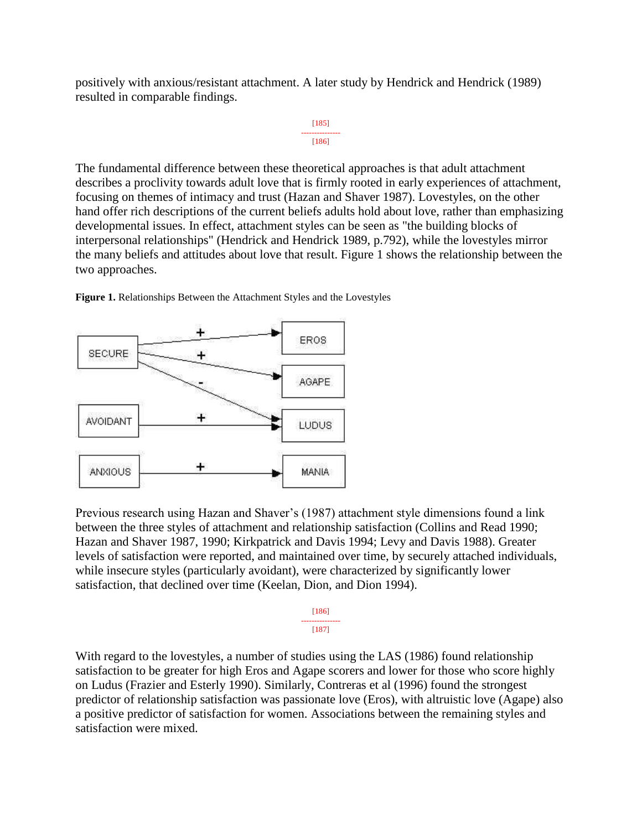positively with anxious/resistant attachment. A later study by Hendrick and Hendrick (1989) resulted in comparable findings.



The fundamental difference between these theoretical approaches is that adult attachment describes a proclivity towards adult love that is firmly rooted in early experiences of attachment, focusing on themes of intimacy and trust (Hazan and Shaver 1987). Lovestyles, on the other hand offer rich descriptions of the current beliefs adults hold about love, rather than emphasizing developmental issues. In effect, attachment styles can be seen as "the building blocks of interpersonal relationships" (Hendrick and Hendrick 1989, p.792), while the lovestyles mirror the many beliefs and attitudes about love that result. Figure 1 shows the relationship between the two approaches.



**Figure 1.** Relationships Between the Attachment Styles and the Lovestyles

Previous research using Hazan and Shaver's (1987) attachment style dimensions found a link between the three styles of attachment and relationship satisfaction (Collins and Read 1990; Hazan and Shaver 1987, 1990; Kirkpatrick and Davis 1994; Levy and Davis 1988). Greater levels of satisfaction were reported, and maintained over time, by securely attached individuals, while insecure styles (particularly avoidant), were characterized by significantly lower satisfaction, that declined over time (Keelan, Dion, and Dion 1994).

> [186] --------------- [187]

With regard to the lovestyles, a number of studies using the LAS (1986) found relationship satisfaction to be greater for high Eros and Agape scorers and lower for those who score highly on Ludus (Frazier and Esterly 1990). Similarly, Contreras et al (1996) found the strongest predictor of relationship satisfaction was passionate love (Eros), with altruistic love (Agape) also a positive predictor of satisfaction for women. Associations between the remaining styles and satisfaction were mixed.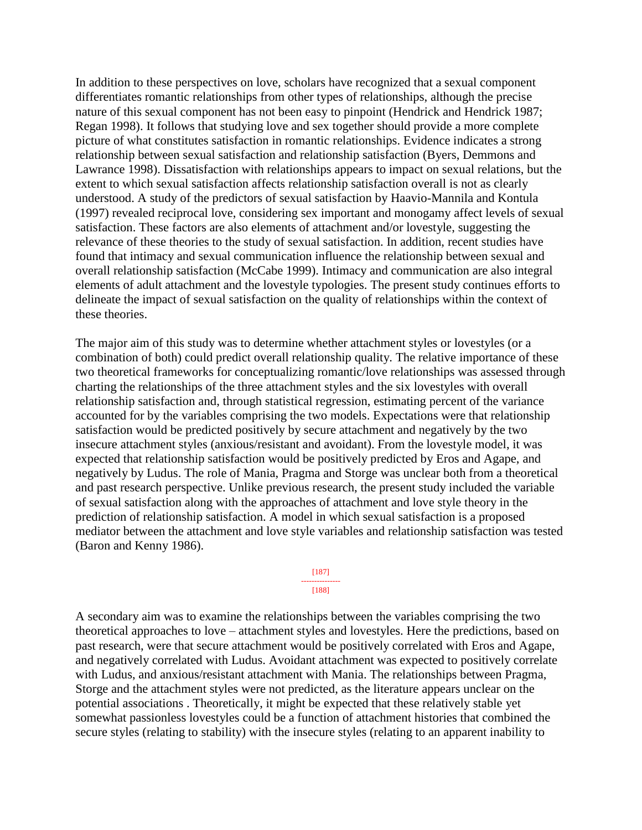In addition to these perspectives on love, scholars have recognized that a sexual component differentiates romantic relationships from other types of relationships, although the precise nature of this sexual component has not been easy to pinpoint (Hendrick and Hendrick 1987; Regan 1998). It follows that studying love and sex together should provide a more complete picture of what constitutes satisfaction in romantic relationships. Evidence indicates a strong relationship between sexual satisfaction and relationship satisfaction (Byers, Demmons and Lawrance 1998). Dissatisfaction with relationships appears to impact on sexual relations, but the extent to which sexual satisfaction affects relationship satisfaction overall is not as clearly understood. A study of the predictors of sexual satisfaction by Haavio-Mannila and Kontula (1997) revealed reciprocal love, considering sex important and monogamy affect levels of sexual satisfaction. These factors are also elements of attachment and/or lovestyle, suggesting the relevance of these theories to the study of sexual satisfaction. In addition, recent studies have found that intimacy and sexual communication influence the relationship between sexual and overall relationship satisfaction (McCabe 1999). Intimacy and communication are also integral elements of adult attachment and the lovestyle typologies. The present study continues efforts to delineate the impact of sexual satisfaction on the quality of relationships within the context of these theories.

The major aim of this study was to determine whether attachment styles or lovestyles (or a combination of both) could predict overall relationship quality. The relative importance of these two theoretical frameworks for conceptualizing romantic/love relationships was assessed through charting the relationships of the three attachment styles and the six lovestyles with overall relationship satisfaction and, through statistical regression, estimating percent of the variance accounted for by the variables comprising the two models. Expectations were that relationship satisfaction would be predicted positively by secure attachment and negatively by the two insecure attachment styles (anxious/resistant and avoidant). From the lovestyle model, it was expected that relationship satisfaction would be positively predicted by Eros and Agape, and negatively by Ludus. The role of Mania, Pragma and Storge was unclear both from a theoretical and past research perspective. Unlike previous research, the present study included the variable of sexual satisfaction along with the approaches of attachment and love style theory in the prediction of relationship satisfaction. A model in which sexual satisfaction is a proposed mediator between the attachment and love style variables and relationship satisfaction was tested (Baron and Kenny 1986).

#### [187] --------------- [188]

A secondary aim was to examine the relationships between the variables comprising the two theoretical approaches to love – attachment styles and lovestyles. Here the predictions, based on past research, were that secure attachment would be positively correlated with Eros and Agape, and negatively correlated with Ludus. Avoidant attachment was expected to positively correlate with Ludus, and anxious/resistant attachment with Mania. The relationships between Pragma, Storge and the attachment styles were not predicted, as the literature appears unclear on the potential associations . Theoretically, it might be expected that these relatively stable yet somewhat passionless lovestyles could be a function of attachment histories that combined the secure styles (relating to stability) with the insecure styles (relating to an apparent inability to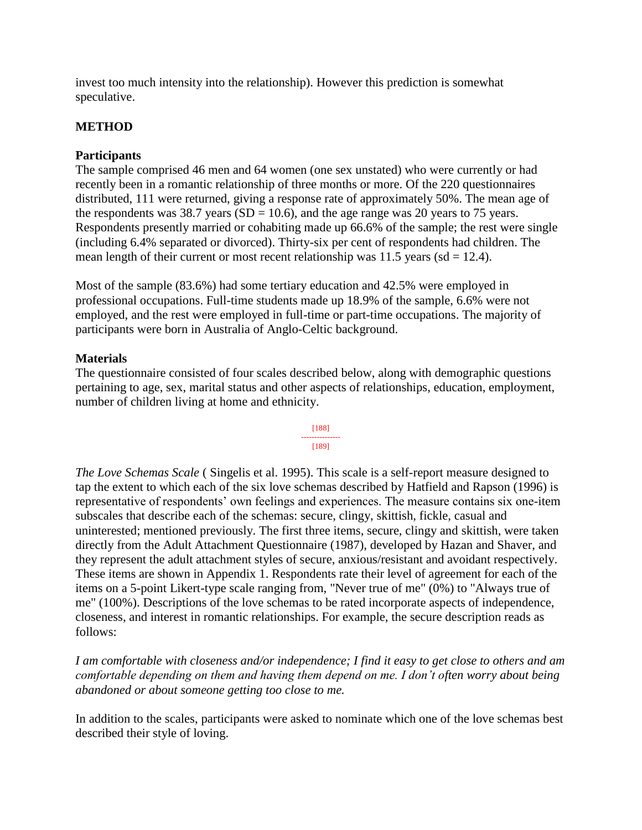invest too much intensity into the relationship). However this prediction is somewhat speculative.

## **METHOD**

## **Participants**

The sample comprised 46 men and 64 women (one sex unstated) who were currently or had recently been in a romantic relationship of three months or more. Of the 220 questionnaires distributed, 111 were returned, giving a response rate of approximately 50%. The mean age of the respondents was 38.7 years (SD = 10.6), and the age range was 20 years to 75 years. Respondents presently married or cohabiting made up 66.6% of the sample; the rest were single (including 6.4% separated or divorced). Thirty-six per cent of respondents had children. The mean length of their current or most recent relationship was  $11.5$  years (sd = 12.4).

Most of the sample (83.6%) had some tertiary education and 42.5% were employed in professional occupations. Full-time students made up 18.9% of the sample, 6.6% were not employed, and the rest were employed in full-time or part-time occupations. The majority of participants were born in Australia of Anglo-Celtic background.

### **Materials**

The questionnaire consisted of four scales described below, along with demographic questions pertaining to age, sex, marital status and other aspects of relationships, education, employment, number of children living at home and ethnicity.



*The Love Schemas Scale* ( Singelis et al. 1995). This scale is a self-report measure designed to tap the extent to which each of the six love schemas described by Hatfield and Rapson (1996) is representative of respondents' own feelings and experiences. The measure contains six one-item subscales that describe each of the schemas: secure, clingy, skittish, fickle, casual and uninterested; mentioned previously. The first three items, secure, clingy and skittish, were taken directly from the Adult Attachment Questionnaire (1987), developed by Hazan and Shaver, and they represent the adult attachment styles of secure, anxious/resistant and avoidant respectively. These items are shown in Appendix 1. Respondents rate their level of agreement for each of the items on a 5-point Likert-type scale ranging from, "Never true of me" (0%) to "Always true of me" (100%). Descriptions of the love schemas to be rated incorporate aspects of independence, closeness, and interest in romantic relationships. For example, the secure description reads as follows:

*I am comfortable with closeness and/or independence; I find it easy to get close to others and am comfortable depending on them and having them depend on me. I don't often worry about being abandoned or about someone getting too close to me.*

In addition to the scales, participants were asked to nominate which one of the love schemas best described their style of loving.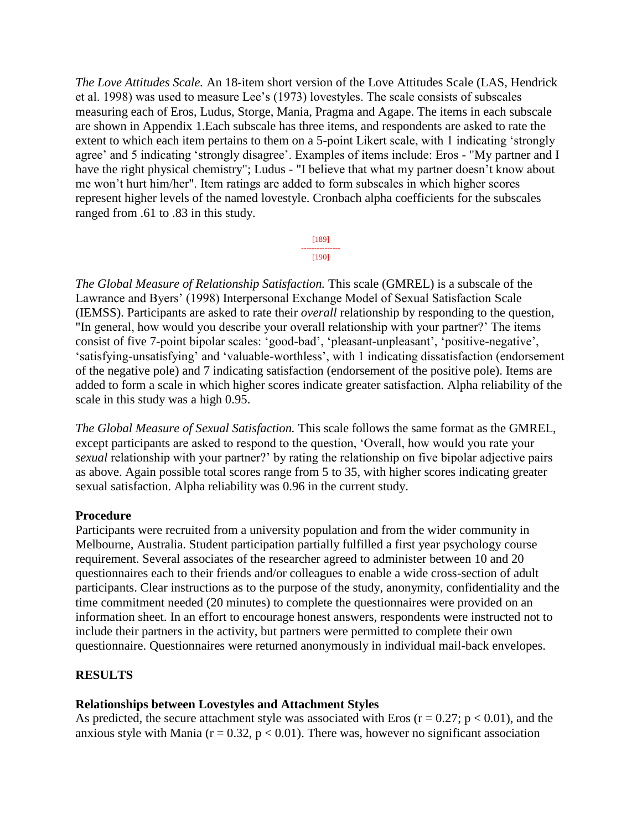*The Love Attitudes Scale.* An 18-item short version of the Love Attitudes Scale (LAS, Hendrick et al. 1998) was used to measure Lee's (1973) lovestyles. The scale consists of subscales measuring each of Eros, Ludus, Storge, Mania, Pragma and Agape. The items in each subscale are shown in Appendix 1.Each subscale has three items, and respondents are asked to rate the extent to which each item pertains to them on a 5-point Likert scale, with 1 indicating 'strongly agree' and 5 indicating 'strongly disagree'. Examples of items include: Eros - "My partner and I have the right physical chemistry"; Ludus - "I believe that what my partner doesn't know about me won't hurt him/her". Item ratings are added to form subscales in which higher scores represent higher levels of the named lovestyle. Cronbach alpha coefficients for the subscales ranged from .61 to .83 in this study.

> [189] --------------- [190]

*The Global Measure of Relationship Satisfaction.* This scale (GMREL) is a subscale of the Lawrance and Byers' (1998) Interpersonal Exchange Model of Sexual Satisfaction Scale (IEMSS). Participants are asked to rate their *overall* relationship by responding to the question, "In general, how would you describe your overall relationship with your partner?' The items consist of five 7-point bipolar scales: 'good-bad', 'pleasant-unpleasant', 'positive-negative', 'satisfying-unsatisfying' and 'valuable-worthless', with 1 indicating dissatisfaction (endorsement of the negative pole) and 7 indicating satisfaction (endorsement of the positive pole). Items are added to form a scale in which higher scores indicate greater satisfaction. Alpha reliability of the scale in this study was a high 0.95.

*The Global Measure of Sexual Satisfaction.* This scale follows the same format as the GMREL, except participants are asked to respond to the question, 'Overall, how would you rate your *sexual* relationship with your partner?' by rating the relationship on five bipolar adjective pairs as above. Again possible total scores range from 5 to 35, with higher scores indicating greater sexual satisfaction. Alpha reliability was 0.96 in the current study.

### **Procedure**

Participants were recruited from a university population and from the wider community in Melbourne, Australia. Student participation partially fulfilled a first year psychology course requirement. Several associates of the researcher agreed to administer between 10 and 20 questionnaires each to their friends and/or colleagues to enable a wide cross-section of adult participants. Clear instructions as to the purpose of the study, anonymity, confidentiality and the time commitment needed (20 minutes) to complete the questionnaires were provided on an information sheet. In an effort to encourage honest answers, respondents were instructed not to include their partners in the activity, but partners were permitted to complete their own questionnaire. Questionnaires were returned anonymously in individual mail-back envelopes.

## **RESULTS**

### **Relationships between Lovestyles and Attachment Styles**

As predicted, the secure attachment style was associated with Eros ( $r = 0.27$ ;  $p < 0.01$ ), and the anxious style with Mania ( $r = 0.32$ ,  $p < 0.01$ ). There was, however no significant association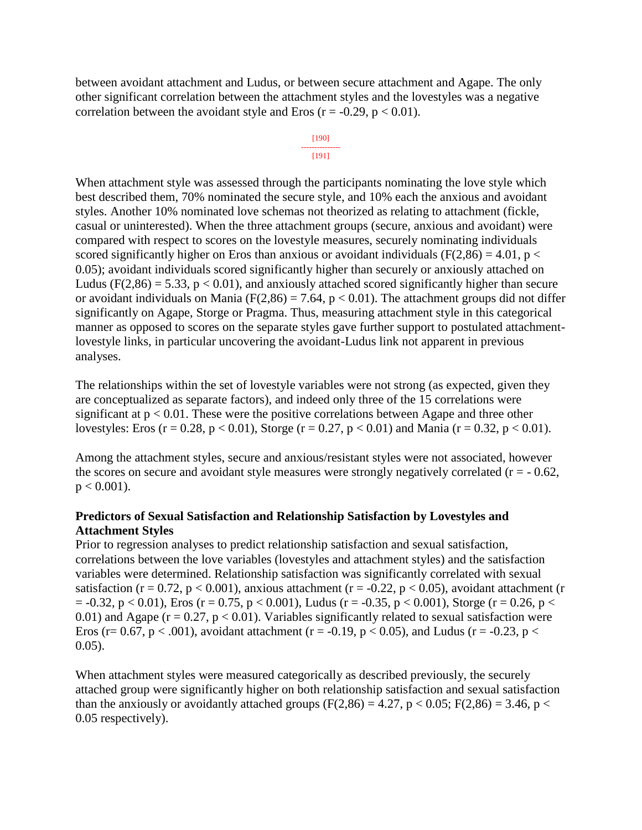between avoidant attachment and Ludus, or between secure attachment and Agape. The only other significant correlation between the attachment styles and the lovestyles was a negative correlation between the avoidant style and Eros ( $r = -0.29$ ,  $p < 0.01$ ).

#### [190] --------------- [191]

When attachment style was assessed through the participants nominating the love style which best described them, 70% nominated the secure style, and 10% each the anxious and avoidant styles. Another 10% nominated love schemas not theorized as relating to attachment (fickle, casual or uninterested). When the three attachment groups (secure, anxious and avoidant) were compared with respect to scores on the lovestyle measures, securely nominating individuals scored significantly higher on Eros than anxious or avoidant individuals ( $F(2,86) = 4.01$ ,  $p <$ 0.05); avoidant individuals scored significantly higher than securely or anxiously attached on Ludus ( $F(2,86) = 5.33$ ,  $p < 0.01$ ), and anxiously attached scored significantly higher than secure or avoidant individuals on Mania ( $F(2,86) = 7.64$ ,  $p < 0.01$ ). The attachment groups did not differ significantly on Agape, Storge or Pragma. Thus, measuring attachment style in this categorical manner as opposed to scores on the separate styles gave further support to postulated attachmentlovestyle links, in particular uncovering the avoidant-Ludus link not apparent in previous analyses.

The relationships within the set of lovestyle variables were not strong (as expected, given they are conceptualized as separate factors), and indeed only three of the 15 correlations were significant at  $p < 0.01$ . These were the positive correlations between Agape and three other lovestyles: Eros (r = 0.28, p < 0.01), Storge (r = 0.27, p < 0.01) and Mania (r = 0.32, p < 0.01).

Among the attachment styles, secure and anxious/resistant styles were not associated, however the scores on secure and avoidant style measures were strongly negatively correlated  $(r = -0.62,$  $p < 0.001$ ).

## **Predictors of Sexual Satisfaction and Relationship Satisfaction by Lovestyles and Attachment Styles**

Prior to regression analyses to predict relationship satisfaction and sexual satisfaction, correlations between the love variables (lovestyles and attachment styles) and the satisfaction variables were determined. Relationship satisfaction was significantly correlated with sexual satisfaction (r = 0.72, p < 0.001), anxious attachment (r = -0.22, p < 0.05), avoidant attachment (r  $= -0.32$ ,  $p < 0.01$ ), Eros (r = 0.75, p < 0.001), Ludus (r = -0.35, p < 0.001), Storge (r = 0.26, p < 0.01) and Agape ( $r = 0.27$ ,  $p < 0.01$ ). Variables significantly related to sexual satisfaction were Eros (r= 0.67, p < .001), avoidant attachment (r = -0.19, p < 0.05), and Ludus (r = -0.23, p < 0.05).

When attachment styles were measured categorically as described previously, the securely attached group were significantly higher on both relationship satisfaction and sexual satisfaction than the anxiously or avoidantly attached groups ( $F(2,86) = 4.27$ ,  $p < 0.05$ ;  $F(2,86) = 3.46$ ,  $p <$ 0.05 respectively).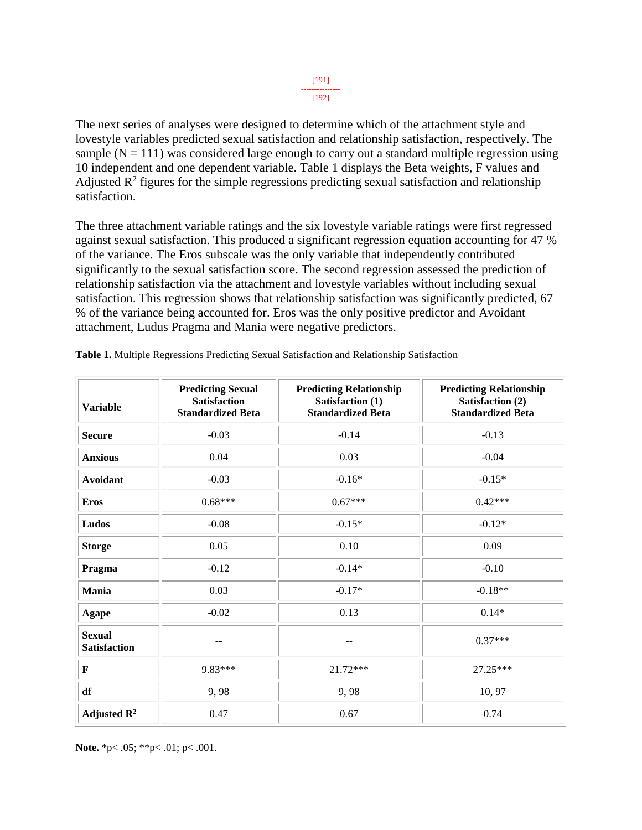[192]

The next series of analyses were designed to determine which of the attachment style and lovestyle variables predicted sexual satisfaction and relationship satisfaction, respectively. The sample  $(N = 111)$  was considered large enough to carry out a standard multiple regression using 10 independent and one dependent variable. Table 1 displays the Beta weights, F values and Adjusted  $\mathbb{R}^2$  figures for the simple regressions predicting sexual satisfaction and relationship satisfaction.

The three attachment variable ratings and the six lovestyle variable ratings were first regressed against sexual satisfaction. This produced a significant regression equation accounting for 47 % of the variance. The Eros subscale was the only variable that independently contributed significantly to the sexual satisfaction score. The second regression assessed the prediction of relationship satisfaction via the attachment and lovestyle variables without including sexual satisfaction. This regression shows that relationship satisfaction was significantly predicted, 67 % of the variance being accounted for. Eros was the only positive predictor and Avoidant attachment, Ludus Pragma and Mania were negative predictors.

| <b>Variable</b>                      | <b>Predicting Sexual</b><br><b>Satisfaction</b><br><b>Standardized Beta</b> | <b>Predicting Relationship</b><br>Satisfaction (1)<br><b>Standardized Beta</b> | <b>Predicting Relationship</b><br>Satisfaction (2)<br><b>Standardized Beta</b> |
|--------------------------------------|-----------------------------------------------------------------------------|--------------------------------------------------------------------------------|--------------------------------------------------------------------------------|
| <b>Secure</b>                        | $-0.03$                                                                     | $-0.14$                                                                        | $-0.13$                                                                        |
| <b>Anxious</b>                       | 0.04                                                                        | 0.03                                                                           | $-0.04$                                                                        |
| <b>Avoidant</b>                      | $-0.03$                                                                     | $-0.16*$                                                                       | $-0.15*$                                                                       |
| <b>Eros</b>                          | $0.68***$                                                                   | $0.67***$                                                                      | $0.42***$                                                                      |
| Ludos                                | $-0.08$                                                                     | $-0.15*$                                                                       | $-0.12*$                                                                       |
| <b>Storge</b>                        | 0.05                                                                        | 0.10                                                                           | 0.09                                                                           |
| Pragma                               | $-0.12$                                                                     | $-0.14*$                                                                       | $-0.10$                                                                        |
| Mania                                | 0.03                                                                        | $-0.17*$                                                                       | $-0.18**$                                                                      |
| <b>Agape</b>                         | $-0.02$                                                                     | 0.13                                                                           | $0.14*$                                                                        |
| <b>Sexual</b><br><b>Satisfaction</b> |                                                                             |                                                                                | $0.37***$                                                                      |
| F                                    | 9.83***                                                                     | 21.72***                                                                       | 27.25***                                                                       |
| df                                   | 9,98                                                                        | 9,98                                                                           | 10, 97                                                                         |
| Adjusted $\mathbb{R}^2$              | 0.47                                                                        | 0.67                                                                           | 0.74                                                                           |

**Table 1.** Multiple Regressions Predicting Sexual Satisfaction and Relationship Satisfaction

**Note.** \*p< .05; \*\*p< .01; p< .001.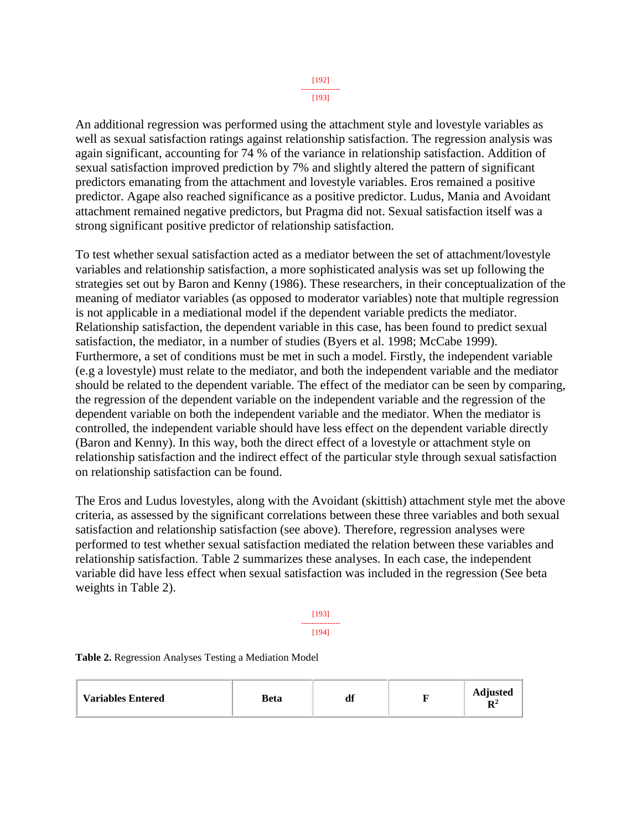[193]

An additional regression was performed using the attachment style and lovestyle variables as well as sexual satisfaction ratings against relationship satisfaction. The regression analysis was again significant, accounting for 74 % of the variance in relationship satisfaction. Addition of sexual satisfaction improved prediction by 7% and slightly altered the pattern of significant predictors emanating from the attachment and lovestyle variables. Eros remained a positive predictor. Agape also reached significance as a positive predictor. Ludus, Mania and Avoidant attachment remained negative predictors, but Pragma did not. Sexual satisfaction itself was a strong significant positive predictor of relationship satisfaction.

To test whether sexual satisfaction acted as a mediator between the set of attachment/lovestyle variables and relationship satisfaction, a more sophisticated analysis was set up following the strategies set out by Baron and Kenny (1986). These researchers, in their conceptualization of the meaning of mediator variables (as opposed to moderator variables) note that multiple regression is not applicable in a mediational model if the dependent variable predicts the mediator. Relationship satisfaction, the dependent variable in this case, has been found to predict sexual satisfaction, the mediator, in a number of studies (Byers et al. 1998; McCabe 1999). Furthermore, a set of conditions must be met in such a model. Firstly, the independent variable (e.g a lovestyle) must relate to the mediator, and both the independent variable and the mediator should be related to the dependent variable. The effect of the mediator can be seen by comparing, the regression of the dependent variable on the independent variable and the regression of the dependent variable on both the independent variable and the mediator. When the mediator is controlled, the independent variable should have less effect on the dependent variable directly (Baron and Kenny). In this way, both the direct effect of a lovestyle or attachment style on relationship satisfaction and the indirect effect of the particular style through sexual satisfaction on relationship satisfaction can be found.

The Eros and Ludus lovestyles, along with the Avoidant (skittish) attachment style met the above criteria, as assessed by the significant correlations between these three variables and both sexual satisfaction and relationship satisfaction (see above). Therefore, regression analyses were performed to test whether sexual satisfaction mediated the relation between these variables and relationship satisfaction. Table 2 summarizes these analyses. In each case, the independent variable did have less effect when sexual satisfaction was included in the regression (See beta weights in Table 2).

> [193] --------------- [194]

**Table 2.** Regression Analyses Testing a Mediation Model

| <b>Variables Entered</b> | Beta | df |  | <b>Adjusted</b><br>D2<br>v |
|--------------------------|------|----|--|----------------------------|
|--------------------------|------|----|--|----------------------------|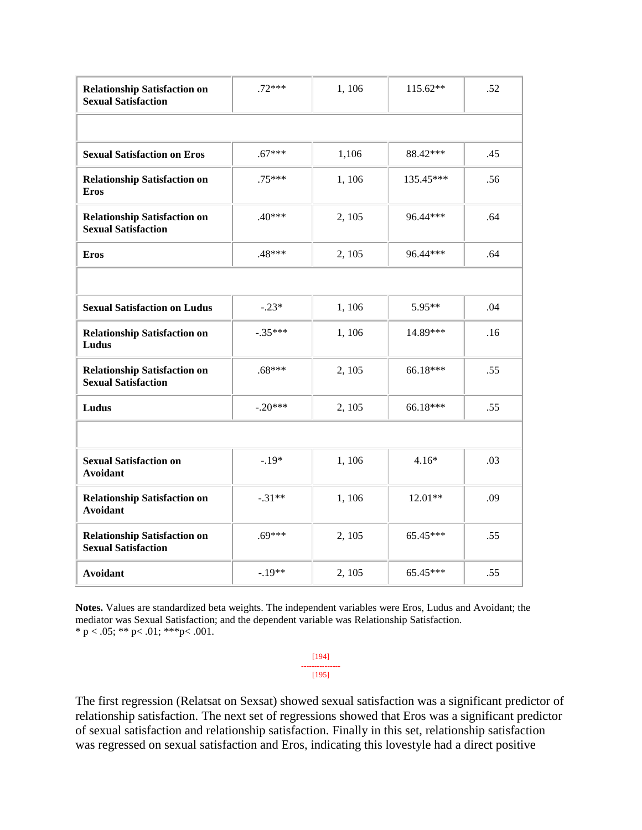| <b>Relationship Satisfaction on</b><br><b>Sexual Satisfaction</b> | $.72***$  | 1,106  | 115.62**  | .52 |
|-------------------------------------------------------------------|-----------|--------|-----------|-----|
|                                                                   |           |        |           |     |
| <b>Sexual Satisfaction on Eros</b>                                | $.67***$  | 1,106  | 88.42***  | .45 |
| <b>Relationship Satisfaction on</b><br><b>Eros</b>                | $.75***$  | 1,106  | 135.45*** | .56 |
| <b>Relationship Satisfaction on</b><br><b>Sexual Satisfaction</b> | $.40***$  | 2, 105 | 96.44***  | .64 |
| <b>Eros</b>                                                       | $.48***$  | 2, 105 | 96.44***  | .64 |
|                                                                   |           |        |           |     |
| <b>Sexual Satisfaction on Ludus</b>                               | $-.23*$   | 1,106  | 5.95**    | .04 |
| <b>Relationship Satisfaction on</b><br>Ludus                      | $-.35***$ | 1,106  | 14.89***  | .16 |
| <b>Relationship Satisfaction on</b><br><b>Sexual Satisfaction</b> | $.68***$  | 2, 105 | 66.18***  | .55 |
| Ludus                                                             | $-.20***$ | 2, 105 | 66.18***  | .55 |
|                                                                   |           |        |           |     |
| <b>Sexual Satisfaction on</b><br><b>Avoidant</b>                  | $-.19*$   | 1,106  | $4.16*$   | .03 |
| <b>Relationship Satisfaction on</b><br><b>Avoidant</b>            | $-.31**$  | 1,106  | $12.01**$ | .09 |
| <b>Relationship Satisfaction on</b><br><b>Sexual Satisfaction</b> | $.69***$  | 2, 105 | 65.45***  | .55 |
| <b>Avoidant</b>                                                   | $-.19**$  | 2, 105 | 65.45***  | .55 |

**Notes.** Values are standardized beta weights. The independent variables were Eros, Ludus and Avoidant; the mediator was Sexual Satisfaction; and the dependent variable was Relationship Satisfaction. \* p < .05; \*\* p < .01; \*\*\* p < .001.

> [194] --------------- [195]

The first regression (Relatsat on Sexsat) showed sexual satisfaction was a significant predictor of relationship satisfaction. The next set of regressions showed that Eros was a significant predictor of sexual satisfaction and relationship satisfaction. Finally in this set, relationship satisfaction was regressed on sexual satisfaction and Eros, indicating this lovestyle had a direct positive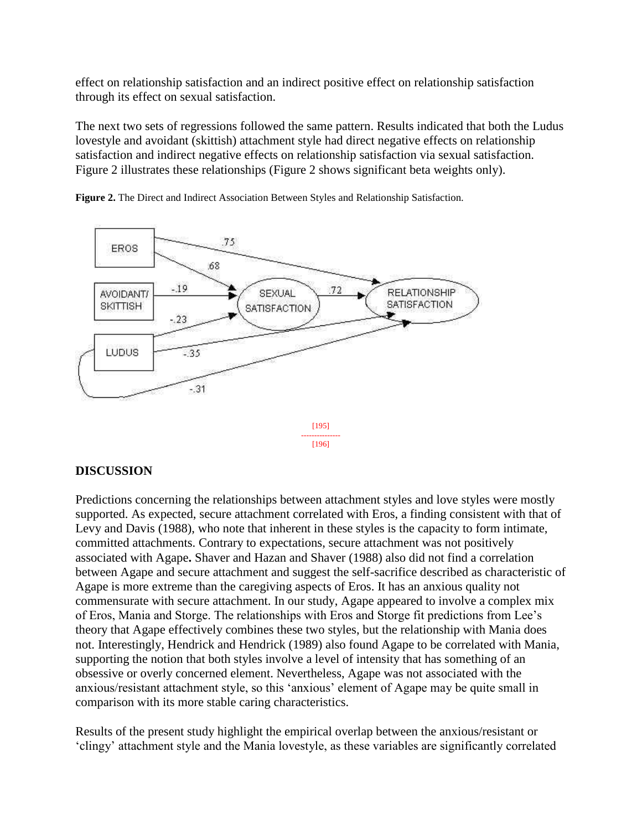effect on relationship satisfaction and an indirect positive effect on relationship satisfaction through its effect on sexual satisfaction.

The next two sets of regressions followed the same pattern. Results indicated that both the Ludus lovestyle and avoidant (skittish) attachment style had direct negative effects on relationship satisfaction and indirect negative effects on relationship satisfaction via sexual satisfaction. Figure 2 illustrates these relationships (Figure 2 shows significant beta weights only).



**Figure 2.** The Direct and Indirect Association Between Styles and Relationship Satisfaction.

## **DISCUSSION**

Predictions concerning the relationships between attachment styles and love styles were mostly supported. As expected, secure attachment correlated with Eros, a finding consistent with that of Levy and Davis (1988), who note that inherent in these styles is the capacity to form intimate, committed attachments. Contrary to expectations, secure attachment was not positively associated with Agape**.** Shaver and Hazan and Shaver (1988) also did not find a correlation between Agape and secure attachment and suggest the self-sacrifice described as characteristic of Agape is more extreme than the caregiving aspects of Eros. It has an anxious quality not commensurate with secure attachment. In our study, Agape appeared to involve a complex mix of Eros, Mania and Storge. The relationships with Eros and Storge fit predictions from Lee's theory that Agape effectively combines these two styles, but the relationship with Mania does not. Interestingly, Hendrick and Hendrick (1989) also found Agape to be correlated with Mania, supporting the notion that both styles involve a level of intensity that has something of an obsessive or overly concerned element. Nevertheless, Agape was not associated with the anxious/resistant attachment style, so this 'anxious' element of Agape may be quite small in comparison with its more stable caring characteristics.

Results of the present study highlight the empirical overlap between the anxious/resistant or 'clingy' attachment style and the Mania lovestyle, as these variables are significantly correlated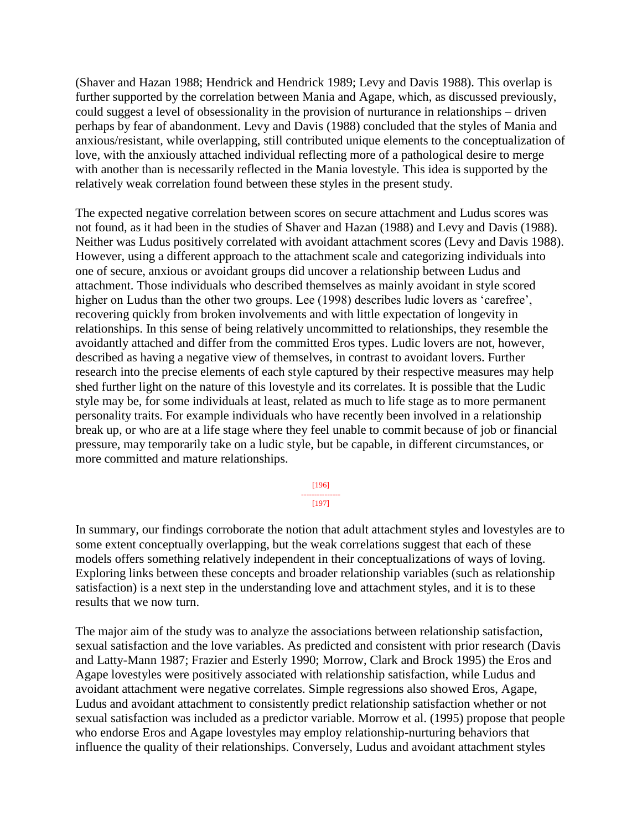(Shaver and Hazan 1988; Hendrick and Hendrick 1989; Levy and Davis 1988). This overlap is further supported by the correlation between Mania and Agape, which, as discussed previously, could suggest a level of obsessionality in the provision of nurturance in relationships – driven perhaps by fear of abandonment. Levy and Davis (1988) concluded that the styles of Mania and anxious/resistant, while overlapping, still contributed unique elements to the conceptualization of love, with the anxiously attached individual reflecting more of a pathological desire to merge with another than is necessarily reflected in the Mania lovestyle. This idea is supported by the relatively weak correlation found between these styles in the present study.

The expected negative correlation between scores on secure attachment and Ludus scores was not found, as it had been in the studies of Shaver and Hazan (1988) and Levy and Davis (1988). Neither was Ludus positively correlated with avoidant attachment scores (Levy and Davis 1988). However, using a different approach to the attachment scale and categorizing individuals into one of secure, anxious or avoidant groups did uncover a relationship between Ludus and attachment. Those individuals who described themselves as mainly avoidant in style scored higher on Ludus than the other two groups. Lee (1998) describes ludic lovers as 'carefree', recovering quickly from broken involvements and with little expectation of longevity in relationships. In this sense of being relatively uncommitted to relationships, they resemble the avoidantly attached and differ from the committed Eros types. Ludic lovers are not, however, described as having a negative view of themselves, in contrast to avoidant lovers. Further research into the precise elements of each style captured by their respective measures may help shed further light on the nature of this lovestyle and its correlates. It is possible that the Ludic style may be, for some individuals at least, related as much to life stage as to more permanent personality traits. For example individuals who have recently been involved in a relationship break up, or who are at a life stage where they feel unable to commit because of job or financial pressure, may temporarily take on a ludic style, but be capable, in different circumstances, or more committed and mature relationships.

> [196] --------------- [197]

In summary, our findings corroborate the notion that adult attachment styles and lovestyles are to some extent conceptually overlapping, but the weak correlations suggest that each of these models offers something relatively independent in their conceptualizations of ways of loving. Exploring links between these concepts and broader relationship variables (such as relationship satisfaction) is a next step in the understanding love and attachment styles, and it is to these results that we now turn.

The major aim of the study was to analyze the associations between relationship satisfaction, sexual satisfaction and the love variables. As predicted and consistent with prior research (Davis and Latty-Mann 1987; Frazier and Esterly 1990; Morrow, Clark and Brock 1995) the Eros and Agape lovestyles were positively associated with relationship satisfaction, while Ludus and avoidant attachment were negative correlates. Simple regressions also showed Eros, Agape, Ludus and avoidant attachment to consistently predict relationship satisfaction whether or not sexual satisfaction was included as a predictor variable. Morrow et al. (1995) propose that people who endorse Eros and Agape lovestyles may employ relationship-nurturing behaviors that influence the quality of their relationships. Conversely, Ludus and avoidant attachment styles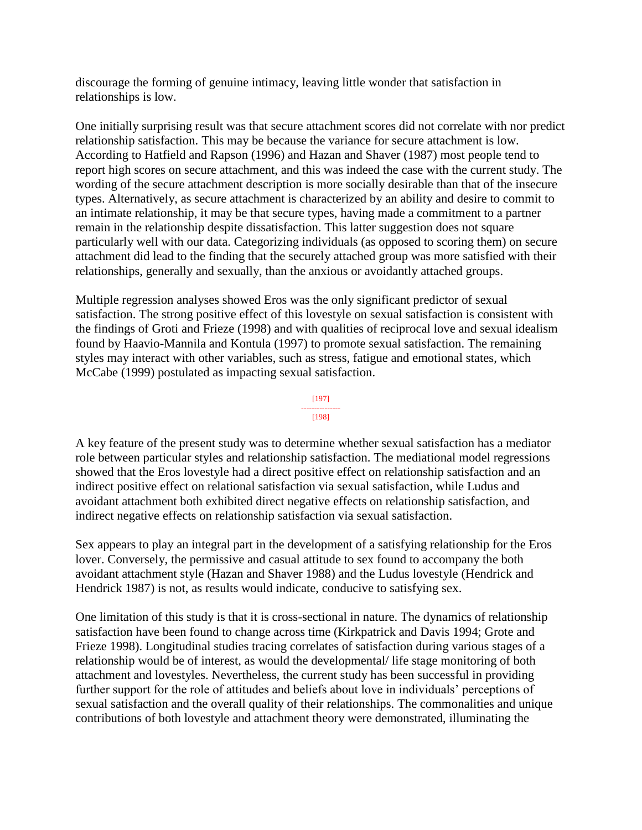discourage the forming of genuine intimacy, leaving little wonder that satisfaction in relationships is low.

One initially surprising result was that secure attachment scores did not correlate with nor predict relationship satisfaction. This may be because the variance for secure attachment is low. According to Hatfield and Rapson (1996) and Hazan and Shaver (1987) most people tend to report high scores on secure attachment, and this was indeed the case with the current study. The wording of the secure attachment description is more socially desirable than that of the insecure types. Alternatively, as secure attachment is characterized by an ability and desire to commit to an intimate relationship, it may be that secure types, having made a commitment to a partner remain in the relationship despite dissatisfaction. This latter suggestion does not square particularly well with our data. Categorizing individuals (as opposed to scoring them) on secure attachment did lead to the finding that the securely attached group was more satisfied with their relationships, generally and sexually, than the anxious or avoidantly attached groups.

Multiple regression analyses showed Eros was the only significant predictor of sexual satisfaction. The strong positive effect of this lovestyle on sexual satisfaction is consistent with the findings of Groti and Frieze (1998) and with qualities of reciprocal love and sexual idealism found by Haavio-Mannila and Kontula (1997) to promote sexual satisfaction. The remaining styles may interact with other variables, such as stress, fatigue and emotional states, which McCabe (1999) postulated as impacting sexual satisfaction.

#### [197] --------------- [198]

A key feature of the present study was to determine whether sexual satisfaction has a mediator role between particular styles and relationship satisfaction. The mediational model regressions showed that the Eros lovestyle had a direct positive effect on relationship satisfaction and an indirect positive effect on relational satisfaction via sexual satisfaction, while Ludus and avoidant attachment both exhibited direct negative effects on relationship satisfaction, and indirect negative effects on relationship satisfaction via sexual satisfaction.

Sex appears to play an integral part in the development of a satisfying relationship for the Eros lover. Conversely, the permissive and casual attitude to sex found to accompany the both avoidant attachment style (Hazan and Shaver 1988) and the Ludus lovestyle (Hendrick and Hendrick 1987) is not, as results would indicate, conducive to satisfying sex.

One limitation of this study is that it is cross-sectional in nature. The dynamics of relationship satisfaction have been found to change across time (Kirkpatrick and Davis 1994; Grote and Frieze 1998). Longitudinal studies tracing correlates of satisfaction during various stages of a relationship would be of interest, as would the developmental/ life stage monitoring of both attachment and lovestyles. Nevertheless, the current study has been successful in providing further support for the role of attitudes and beliefs about love in individuals' perceptions of sexual satisfaction and the overall quality of their relationships. The commonalities and unique contributions of both lovestyle and attachment theory were demonstrated, illuminating the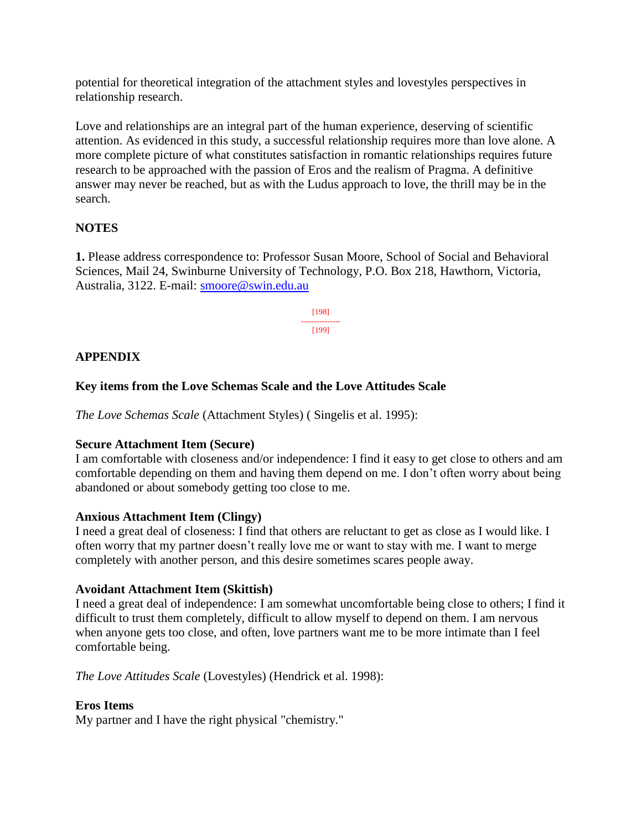potential for theoretical integration of the attachment styles and lovestyles perspectives in relationship research.

Love and relationships are an integral part of the human experience, deserving of scientific attention. As evidenced in this study, a successful relationship requires more than love alone. A more complete picture of what constitutes satisfaction in romantic relationships requires future research to be approached with the passion of Eros and the realism of Pragma. A definitive answer may never be reached, but as with the Ludus approach to love, the thrill may be in the search.

## **NOTES**

**1.** Please address correspondence to: Professor Susan Moore, School of Social and Behavioral Sciences, Mail 24, Swinburne University of Technology, P.O. Box 218, Hawthorn, Victoria, Australia, 3122. E-mail: [smoore@swin.edu.au](mailto:smoore@swin.edu.au)

> [198] --------------- [199]

## **APPENDIX**

## **Key items from the Love Schemas Scale and the Love Attitudes Scale**

*The Love Schemas Scale* (Attachment Styles) ( Singelis et al. 1995):

## **Secure Attachment Item (Secure)**

I am comfortable with closeness and/or independence: I find it easy to get close to others and am comfortable depending on them and having them depend on me. I don't often worry about being abandoned or about somebody getting too close to me.

## **Anxious Attachment Item (Clingy)**

I need a great deal of closeness: I find that others are reluctant to get as close as I would like. I often worry that my partner doesn't really love me or want to stay with me. I want to merge completely with another person, and this desire sometimes scares people away.

## **Avoidant Attachment Item (Skittish)**

I need a great deal of independence: I am somewhat uncomfortable being close to others; I find it difficult to trust them completely, difficult to allow myself to depend on them. I am nervous when anyone gets too close, and often, love partners want me to be more intimate than I feel comfortable being.

*The Love Attitudes Scale* (Lovestyles) (Hendrick et al. 1998):

## **Eros Items**

My partner and I have the right physical "chemistry."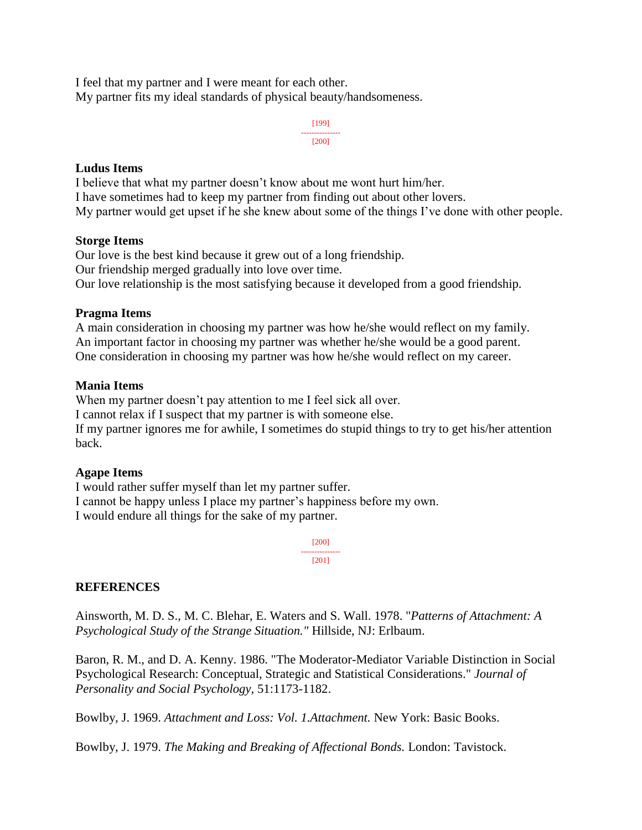I feel that my partner and I were meant for each other. My partner fits my ideal standards of physical beauty/handsomeness.

> [199] --------------- [200]

### **Ludus Items**

I believe that what my partner doesn't know about me wont hurt him/her. I have sometimes had to keep my partner from finding out about other lovers. My partner would get upset if he she knew about some of the things I've done with other people.

#### **Storge Items**

Our love is the best kind because it grew out of a long friendship. Our friendship merged gradually into love over time. Our love relationship is the most satisfying because it developed from a good friendship.

### **Pragma Items**

A main consideration in choosing my partner was how he/she would reflect on my family. An important factor in choosing my partner was whether he/she would be a good parent. One consideration in choosing my partner was how he/she would reflect on my career.

#### **Mania Items**

When my partner doesn't pay attention to me I feel sick all over. I cannot relax if I suspect that my partner is with someone else. If my partner ignores me for awhile, I sometimes do stupid things to try to get his/her attention back.

### **Agape Items**

I would rather suffer myself than let my partner suffer. I cannot be happy unless I place my partner's happiness before my own. I would endure all things for the sake of my partner.

> [200] --------------- [201]

### **REFERENCES**

Ainsworth, M. D. S., M. C. Blehar, E. Waters and S. Wall. 1978. "*Patterns of Attachment: A Psychological Study of the Strange Situation."* Hillside, NJ: Erlbaum.

Baron, R. M., and D. A. Kenny. 1986. "The Moderator-Mediator Variable Distinction in Social Psychological Research: Conceptual, Strategic and Statistical Considerations." *Journal of Personality and Social Psychology,* 51:1173-1182.

Bowlby, J. 1969. *Attachment and Loss: Vol. 1.Attachment.* New York: Basic Books.

Bowlby, J. 1979. *The Making and Breaking of Affectional Bonds.* London: Tavistock.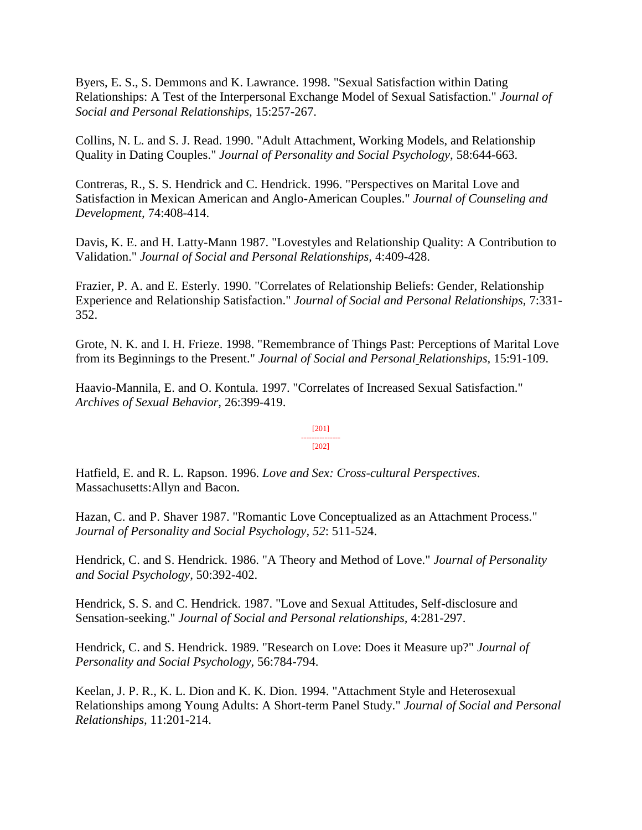Byers, E. S., S. Demmons and K. Lawrance. 1998. "Sexual Satisfaction within Dating Relationships: A Test of the Interpersonal Exchange Model of Sexual Satisfaction." *Journal of Social and Personal Relationships,* 15:257-267.

Collins, N. L. and S. J. Read. 1990. "Adult Attachment, Working Models, and Relationship Quality in Dating Couples." *Journal of Personality and Social Psychology,* 58:644-663.

Contreras, R., S. S. Hendrick and C. Hendrick. 1996. "Perspectives on Marital Love and Satisfaction in Mexican American and Anglo-American Couples." *Journal of Counseling and Development,* 74:408-414.

Davis, K. E. and H. Latty-Mann 1987. "Lovestyles and Relationship Quality: A Contribution to Validation." *Journal of Social and Personal Relationships,* 4:409-428.

Frazier, P. A. and E. Esterly. 1990. "Correlates of Relationship Beliefs: Gender, Relationship Experience and Relationship Satisfaction." *Journal of Social and Personal Relationships,* 7:331- 352.

Grote, N. K. and I. H. Frieze. 1998. "Remembrance of Things Past: Perceptions of Marital Love from its Beginnings to the Present." *Journal of Social and Personal Relationships,* 15:91-109.

Haavio-Mannila, E. and O. Kontula. 1997. "Correlates of Increased Sexual Satisfaction." *Archives of Sexual Behavior,* 26:399-419.

#### [201] --------------- [202]

Hatfield, E. and R. L. Rapson. 1996. *Love and Sex: Cross-cultural Perspectives*. Massachusetts:Allyn and Bacon.

Hazan, C. and P. Shaver 1987. "Romantic Love Conceptualized as an Attachment Process." *Journal of Personality and Social Psychology, 52*: 511-524.

Hendrick, C. and S. Hendrick. 1986. "A Theory and Method of Love." *Journal of Personality and Social Psychology,* 50:392-402.

Hendrick, S. S. and C. Hendrick. 1987. "Love and Sexual Attitudes, Self-disclosure and Sensation-seeking." *Journal of Social and Personal relationships,* 4:281-297.

Hendrick, C. and S. Hendrick. 1989. "Research on Love: Does it Measure up?" *Journal of Personality and Social Psychology,* 56:784-794.

Keelan, J. P. R., K. L. Dion and K. K. Dion. 1994. "Attachment Style and Heterosexual Relationships among Young Adults: A Short-term Panel Study." *Journal of Social and Personal Relationships,* 11:201-214.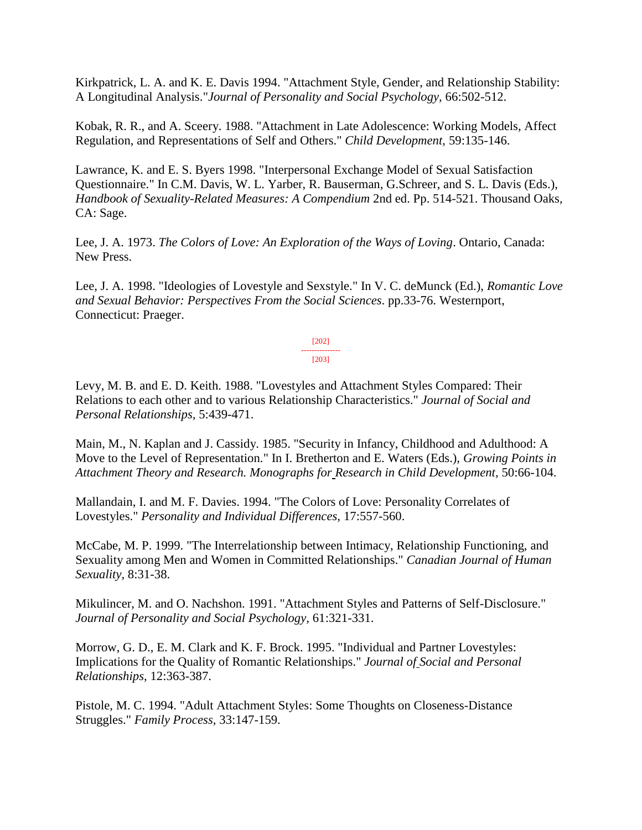Kirkpatrick, L. A. and K. E. Davis 1994. "Attachment Style, Gender, and Relationship Stability: A Longitudinal Analysis."*Journal of Personality and Social Psychology,* 66:502-512.

Kobak, R. R., and A. Sceery. 1988. "Attachment in Late Adolescence: Working Models, Affect Regulation, and Representations of Self and Others." *Child Development,* 59:135-146.

Lawrance, K. and E. S. Byers 1998. "Interpersonal Exchange Model of Sexual Satisfaction Questionnaire." In C.M. Davis, W. L. Yarber, R. Bauserman, G.Schreer, and S. L. Davis (Eds.), *Handbook of Sexuality-Related Measures: A Compendium* 2nd ed. Pp. 514-521. Thousand Oaks, CA: Sage.

Lee, J. A. 1973. *The Colors of Love: An Exploration of the Ways of Loving*. Ontario, Canada: New Press.

Lee, J. A. 1998. "Ideologies of Lovestyle and Sexstyle." In V. C. deMunck (Ed.), *Romantic Love and Sexual Behavior: Perspectives From the Social Sciences*. pp.33-76. Westernport, Connecticut: Praeger.

> [202] --------------- [203]

Levy, M. B. and E. D. Keith. 1988. "Lovestyles and Attachment Styles Compared: Their Relations to each other and to various Relationship Characteristics." *Journal of Social and Personal Relationships,* 5:439-471.

Main, M., N. Kaplan and J. Cassidy. 1985. "Security in Infancy, Childhood and Adulthood: A Move to the Level of Representation." In I. Bretherton and E. Waters (Eds.), *Growing Points in Attachment Theory and Research. Monographs for Research in Child Development,* 50:66-104.

Mallandain, I. and M. F. Davies. 1994. "The Colors of Love: Personality Correlates of Lovestyles." *Personality and Individual Differences,* 17:557-560.

McCabe, M. P. 1999. "The Interrelationship between Intimacy, Relationship Functioning, and Sexuality among Men and Women in Committed Relationships." *Canadian Journal of Human Sexuality,* 8:31-38.

Mikulincer, M. and O. Nachshon. 1991. "Attachment Styles and Patterns of Self-Disclosure." *Journal of Personality and Social Psychology,* 61:321-331.

Morrow, G. D., E. M. Clark and K. F. Brock. 1995. "Individual and Partner Lovestyles: Implications for the Quality of Romantic Relationships." *Journal of Social and Personal Relationships,* 12:363-387.

Pistole, M. C. 1994. "Adult Attachment Styles: Some Thoughts on Closeness-Distance Struggles." *Family Process,* 33:147-159.